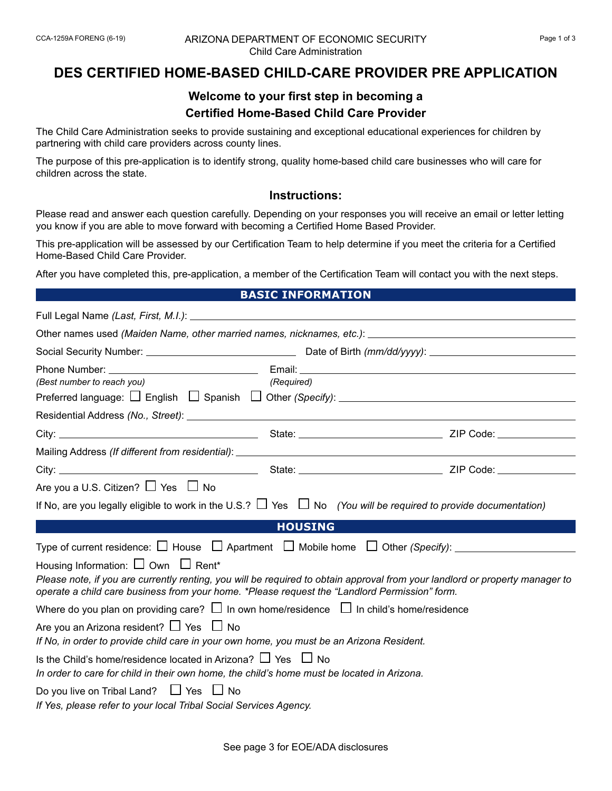#### CCA-1259A FORENG (6-19) Page 1 of 3 ARIZONA DEPARTMENT OF ECONOMIC SECURITY Child Care Administration

# **DES CERTIFIED HOME-BASED CHILD-CARE PROVIDER PRE APPLICATION**

## **Welcome to your first step in becoming a Certified Home-Based Child Care Provider**

The Child Care Administration seeks to provide sustaining and exceptional educational experiences for children by partnering with child care providers across county lines.

The purpose of this pre-application is to identify strong, quality home-based child care businesses who will care for children across the state.

### **Instructions:**

Please read and answer each question carefully. Depending on your responses you will receive an email or letter letting you know if you are able to move forward with becoming a Certified Home Based Provider.

This pre-application will be assessed by our Certification Team to help determine if you meet the criteria for a Certified Home-Based Child Care Provider.

After you have completed this, pre-application, a member of the Certification Team will contact you with the next steps.

### **BASIC INFORMATION**

| (Best number to reach you)                                                                                                                                           | (Required)     |                                                                                                                              |
|----------------------------------------------------------------------------------------------------------------------------------------------------------------------|----------------|------------------------------------------------------------------------------------------------------------------------------|
|                                                                                                                                                                      |                |                                                                                                                              |
|                                                                                                                                                                      |                |                                                                                                                              |
|                                                                                                                                                                      |                |                                                                                                                              |
|                                                                                                                                                                      |                |                                                                                                                              |
|                                                                                                                                                                      |                |                                                                                                                              |
| Are you a U.S. Citizen? $\Box$ Yes $\Box$ No                                                                                                                         |                |                                                                                                                              |
| If No, are you legally eligible to work in the U.S.? $\Box$ Yes $\Box$ No (You will be required to provide documentation)                                            |                |                                                                                                                              |
|                                                                                                                                                                      | <b>HOUSING</b> |                                                                                                                              |
|                                                                                                                                                                      |                |                                                                                                                              |
| Housing Information: $\Box$ Own $\Box$ Rent*                                                                                                                         |                |                                                                                                                              |
| operate a child care business from your home. *Please request the "Landlord Permission" form.                                                                        |                | Please note, if you are currently renting, you will be required to obtain approval from your landlord or property manager to |
| Where do you plan on providing care? $\Box$ In own home/residence $\Box$ In child's home/residence                                                                   |                |                                                                                                                              |
| Are you an Arizona resident? $\Box$ Yes $\Box$ No<br>If No, in order to provide child care in your own home, you must be an Arizona Resident.                        |                |                                                                                                                              |
| Is the Child's home/residence located in Arizona? $\Box$ Yes $\Box$ No<br>In order to care for child in their own home, the child's home must be located in Arizona. |                |                                                                                                                              |
| Do you live on Tribal Land? $\Box$ Yes $\Box$ No<br>If Yes, please refer to your local Tribal Social Services Agency.                                                |                |                                                                                                                              |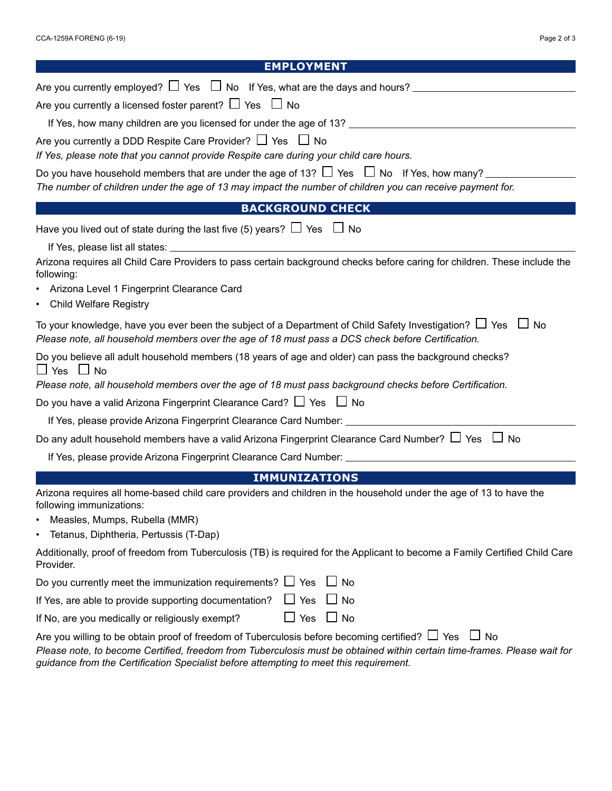| Page 2 of 3 |  |  |
|-------------|--|--|
|-------------|--|--|

| <b>EMPLOYMENT</b>                                                                                                                                                                                                                                                                                                                      |  |  |
|----------------------------------------------------------------------------------------------------------------------------------------------------------------------------------------------------------------------------------------------------------------------------------------------------------------------------------------|--|--|
|                                                                                                                                                                                                                                                                                                                                        |  |  |
| Are you currently a licensed foster parent? $\Box$ Yes $\Box$ No                                                                                                                                                                                                                                                                       |  |  |
|                                                                                                                                                                                                                                                                                                                                        |  |  |
| Are you currently a DDD Respite Care Provider? $\Box$ Yes $\Box$ No<br>If Yes, please note that you cannot provide Respite care during your child care hours.                                                                                                                                                                          |  |  |
| Do you have household members that are under the age of 13? $\Box$ Yes $\Box$ No If Yes, how many?<br>The number of children under the age of 13 may impact the number of children you can receive payment for.                                                                                                                        |  |  |
| <b>BACKGROUND CHECK</b>                                                                                                                                                                                                                                                                                                                |  |  |
| Have you lived out of state during the last five (5) years? $\Box$ Yes $\Box$ No                                                                                                                                                                                                                                                       |  |  |
| If Yes, please list all states: University of the control of the control of the control of the control of the control of the control of the control of the control of the control of the control of the control of the control                                                                                                         |  |  |
| Arizona requires all Child Care Providers to pass certain background checks before caring for children. These include the<br>following:                                                                                                                                                                                                |  |  |
| • Arizona Level 1 Fingerprint Clearance Card                                                                                                                                                                                                                                                                                           |  |  |
| • Child Welfare Registry                                                                                                                                                                                                                                                                                                               |  |  |
| To your knowledge, have you ever been the subject of a Department of Child Safety Investigation? $\Box$ Yes $\Box$ No<br>Please note, all household members over the age of 18 must pass a DCS check before Certification.                                                                                                             |  |  |
| Do you believe all adult household members (18 years of age and older) can pass the background checks?<br>$\Box$ Yes $\Box$ No<br>Please note, all household members over the age of 18 must pass background checks before Certification.                                                                                              |  |  |
| Do you have a valid Arizona Fingerprint Clearance Card? $\Box$ Yes $\Box$ No                                                                                                                                                                                                                                                           |  |  |
| If Yes, please provide Arizona Fingerprint Clearance Card Number: ______________                                                                                                                                                                                                                                                       |  |  |
| Do any adult household members have a valid Arizona Fingerprint Clearance Card Number? $\Box$ Yes $\Box$ No                                                                                                                                                                                                                            |  |  |
|                                                                                                                                                                                                                                                                                                                                        |  |  |
| <b>IMMUNIZATIONS</b>                                                                                                                                                                                                                                                                                                                   |  |  |
| Arizona requires all home-based child care providers and children in the household under the age of 13 to have the<br>following immunizations:                                                                                                                                                                                         |  |  |
| Measles, Mumps, Rubella (MMR)                                                                                                                                                                                                                                                                                                          |  |  |
| Tetanus, Diphtheria, Pertussis (T-Dap)                                                                                                                                                                                                                                                                                                 |  |  |
| Additionally, proof of freedom from Tuberculosis (TB) is required for the Applicant to become a Family Certified Child Care<br>Provider.                                                                                                                                                                                               |  |  |
| Do you currently meet the immunization requirements? $\Box$ Yes $\Box$ No                                                                                                                                                                                                                                                              |  |  |
| If Yes, are able to provide supporting documentation?<br>$\Box$ Yes<br>$\Box$ No                                                                                                                                                                                                                                                       |  |  |
| $\Box$ Yes $\Box$ No<br>If No, are you medically or religiously exempt?                                                                                                                                                                                                                                                                |  |  |
| Are you willing to be obtain proof of freedom of Tuberculosis before becoming certified? $\Box$ Yes<br>$\Box$ No<br>Please note, to become Certified, freedom from Tuberculosis must be obtained within certain time-frames. Please wait for<br>guidance from the Certification Specialist before attempting to meet this requirement. |  |  |